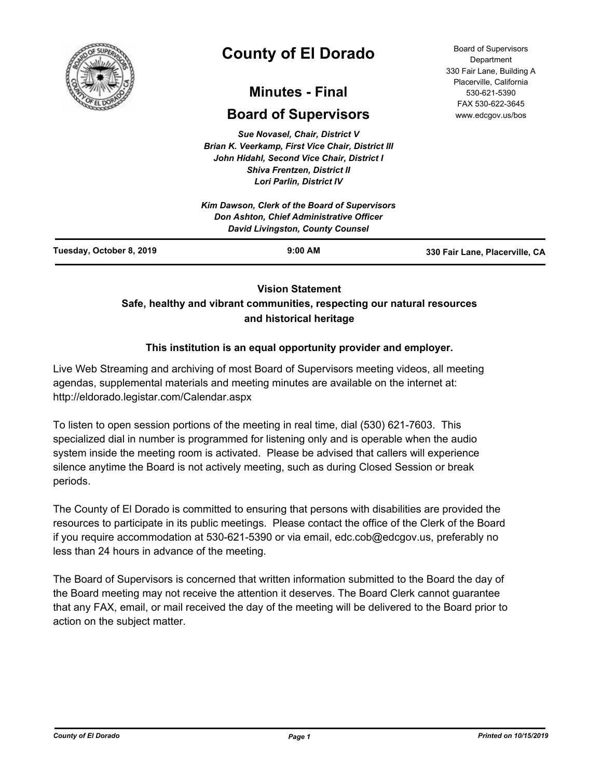

# **County of El Dorado**

# **Minutes - Final**

# **Board of Supervisors**

*Sue Novasel, Chair, District V Brian K. Veerkamp, First Vice Chair, District III John Hidahl, Second Vice Chair, District I Shiva Frentzen, District II Lori Parlin, District IV*

|                          | Kim Dawson, Clerk of the Board of Supervisors<br><b>Don Ashton, Chief Administrative Officer</b><br>David Livingston, County Counsel |                                |
|--------------------------|--------------------------------------------------------------------------------------------------------------------------------------|--------------------------------|
| Tuesday, October 8, 2019 | $9:00$ AM                                                                                                                            | 330 Fair Lane, Placerville, CA |

# **Vision Statement**

# **Safe, healthy and vibrant communities, respecting our natural resources and historical heritage**

# **This institution is an equal opportunity provider and employer.**

Live Web Streaming and archiving of most Board of Supervisors meeting videos, all meeting agendas, supplemental materials and meeting minutes are available on the internet at: http://eldorado.legistar.com/Calendar.aspx

To listen to open session portions of the meeting in real time, dial (530) 621-7603. This specialized dial in number is programmed for listening only and is operable when the audio system inside the meeting room is activated. Please be advised that callers will experience silence anytime the Board is not actively meeting, such as during Closed Session or break periods.

The County of El Dorado is committed to ensuring that persons with disabilities are provided the resources to participate in its public meetings. Please contact the office of the Clerk of the Board if you require accommodation at 530-621-5390 or via email, edc.cob@edcgov.us, preferably no less than 24 hours in advance of the meeting.

The Board of Supervisors is concerned that written information submitted to the Board the day of the Board meeting may not receive the attention it deserves. The Board Clerk cannot guarantee that any FAX, email, or mail received the day of the meeting will be delivered to the Board prior to action on the subject matter.

Board of Supervisors Department 330 Fair Lane, Building A Placerville, California 530-621-5390 FAX 530-622-3645 www.edcgov.us/bos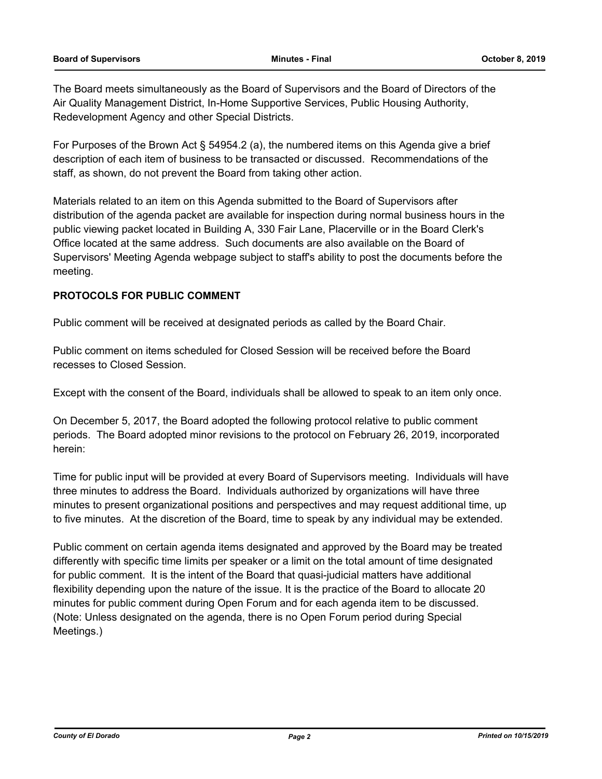The Board meets simultaneously as the Board of Supervisors and the Board of Directors of the Air Quality Management District, In-Home Supportive Services, Public Housing Authority, Redevelopment Agency and other Special Districts.

For Purposes of the Brown Act § 54954.2 (a), the numbered items on this Agenda give a brief description of each item of business to be transacted or discussed. Recommendations of the staff, as shown, do not prevent the Board from taking other action.

Materials related to an item on this Agenda submitted to the Board of Supervisors after distribution of the agenda packet are available for inspection during normal business hours in the public viewing packet located in Building A, 330 Fair Lane, Placerville or in the Board Clerk's Office located at the same address. Such documents are also available on the Board of Supervisors' Meeting Agenda webpage subject to staff's ability to post the documents before the meeting.

# **PROTOCOLS FOR PUBLIC COMMENT**

Public comment will be received at designated periods as called by the Board Chair.

Public comment on items scheduled for Closed Session will be received before the Board recesses to Closed Session.

Except with the consent of the Board, individuals shall be allowed to speak to an item only once.

On December 5, 2017, the Board adopted the following protocol relative to public comment periods. The Board adopted minor revisions to the protocol on February 26, 2019, incorporated herein:

Time for public input will be provided at every Board of Supervisors meeting. Individuals will have three minutes to address the Board. Individuals authorized by organizations will have three minutes to present organizational positions and perspectives and may request additional time, up to five minutes. At the discretion of the Board, time to speak by any individual may be extended.

Public comment on certain agenda items designated and approved by the Board may be treated differently with specific time limits per speaker or a limit on the total amount of time designated for public comment. It is the intent of the Board that quasi-judicial matters have additional flexibility depending upon the nature of the issue. It is the practice of the Board to allocate 20 minutes for public comment during Open Forum and for each agenda item to be discussed. (Note: Unless designated on the agenda, there is no Open Forum period during Special Meetings.)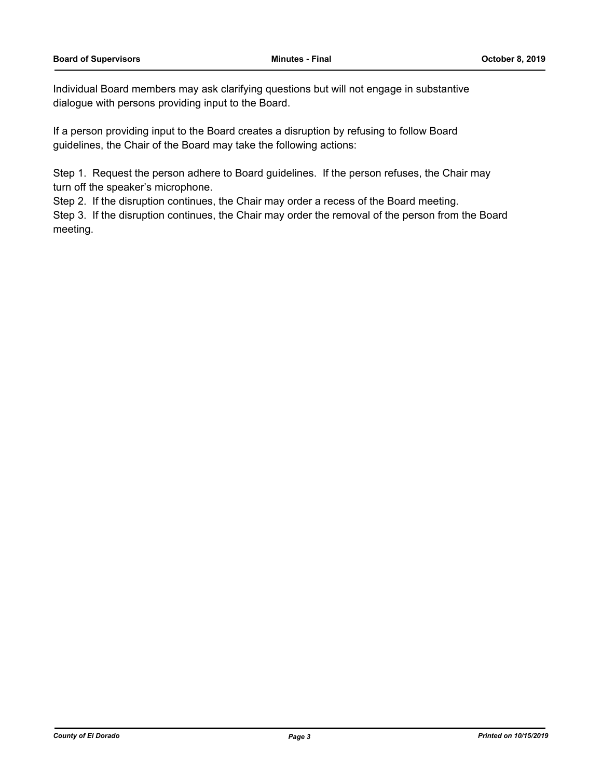Individual Board members may ask clarifying questions but will not engage in substantive dialogue with persons providing input to the Board.

If a person providing input to the Board creates a disruption by refusing to follow Board guidelines, the Chair of the Board may take the following actions:

Step 1. Request the person adhere to Board guidelines. If the person refuses, the Chair may turn off the speaker's microphone.

Step 2. If the disruption continues, the Chair may order a recess of the Board meeting.

Step 3. If the disruption continues, the Chair may order the removal of the person from the Board meeting.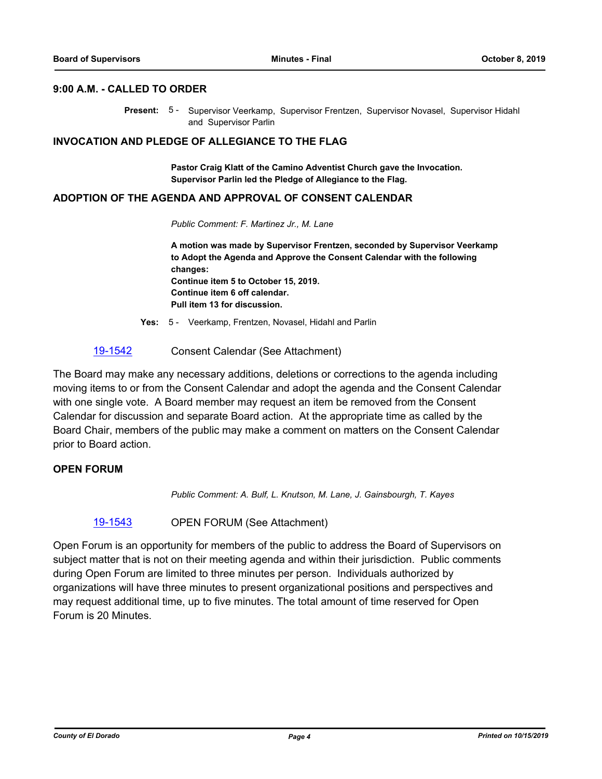#### **9:00 A.M. - CALLED TO ORDER**

Present: 5 - Supervisor Veerkamp, Supervisor Frentzen, Supervisor Novasel, Supervisor Hidahl and Supervisor Parlin

#### **INVOCATION AND PLEDGE OF ALLEGIANCE TO THE FLAG**

**Pastor Craig Klatt of the Camino Adventist Church gave the Invocation. Supervisor Parlin led the Pledge of Allegiance to the Flag.**

#### **ADOPTION OF THE AGENDA AND APPROVAL OF CONSENT CALENDAR**

*Public Comment: F. Martinez Jr., M. Lane*

**A motion was made by Supervisor Frentzen, seconded by Supervisor Veerkamp to Adopt the Agenda and Approve the Consent Calendar with the following changes: Continue item 5 to October 15, 2019. Continue item 6 off calendar. Pull item 13 for discussion.**

**Yes:** 5 - Veerkamp, Frentzen, Novasel, Hidahl and Parlin

### [19-1542](http://eldorado.legistar.com/gateway.aspx?m=l&id=/matter.aspx?key=26864) Consent Calendar (See Attachment)

The Board may make any necessary additions, deletions or corrections to the agenda including moving items to or from the Consent Calendar and adopt the agenda and the Consent Calendar with one single vote. A Board member may request an item be removed from the Consent Calendar for discussion and separate Board action. At the appropriate time as called by the Board Chair, members of the public may make a comment on matters on the Consent Calendar prior to Board action.

### **OPEN FORUM**

*Public Comment: A. Bulf, L. Knutson, M. Lane, J. Gainsbourgh, T. Kayes*

[19-1543](http://eldorado.legistar.com/gateway.aspx?m=l&id=/matter.aspx?key=26865) OPEN FORUM (See Attachment)

Open Forum is an opportunity for members of the public to address the Board of Supervisors on subject matter that is not on their meeting agenda and within their jurisdiction. Public comments during Open Forum are limited to three minutes per person. Individuals authorized by organizations will have three minutes to present organizational positions and perspectives and may request additional time, up to five minutes. The total amount of time reserved for Open Forum is 20 Minutes.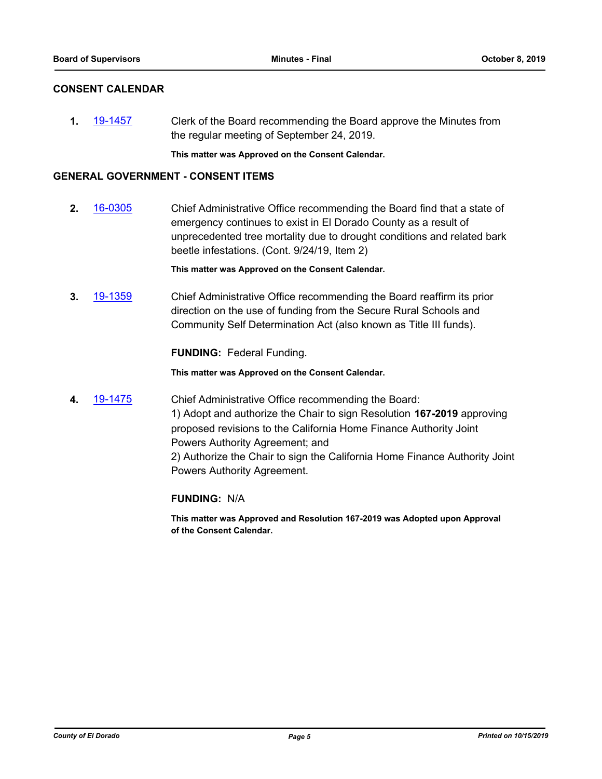# **CONSENT CALENDAR**

**1.** [19-1457](http://eldorado.legistar.com/gateway.aspx?m=l&id=/matter.aspx?key=26778) Clerk of the Board recommending the Board approve the Minutes from the regular meeting of September 24, 2019.

**This matter was Approved on the Consent Calendar.**

### **GENERAL GOVERNMENT - CONSENT ITEMS**

**2.** [16-0305](http://eldorado.legistar.com/gateway.aspx?m=l&id=/matter.aspx?key=20961) Chief Administrative Office recommending the Board find that a state of emergency continues to exist in El Dorado County as a result of unprecedented tree mortality due to drought conditions and related bark beetle infestations. (Cont. 9/24/19, Item 2)

**This matter was Approved on the Consent Calendar.**

**3.** [19-1359](http://eldorado.legistar.com/gateway.aspx?m=l&id=/matter.aspx?key=26680) Chief Administrative Office recommending the Board reaffirm its prior direction on the use of funding from the Secure Rural Schools and Community Self Determination Act (also known as Title III funds).

**FUNDING:** Federal Funding.

**This matter was Approved on the Consent Calendar.**

**4.** [19-1475](http://eldorado.legistar.com/gateway.aspx?m=l&id=/matter.aspx?key=26796) Chief Administrative Office recommending the Board: 1) Adopt and authorize the Chair to sign Resolution **167-2019** approving proposed revisions to the California Home Finance Authority Joint Powers Authority Agreement; and 2) Authorize the Chair to sign the California Home Finance Authority Joint Powers Authority Agreement.

**FUNDING:** N/A

**This matter was Approved and Resolution 167-2019 was Adopted upon Approval of the Consent Calendar.**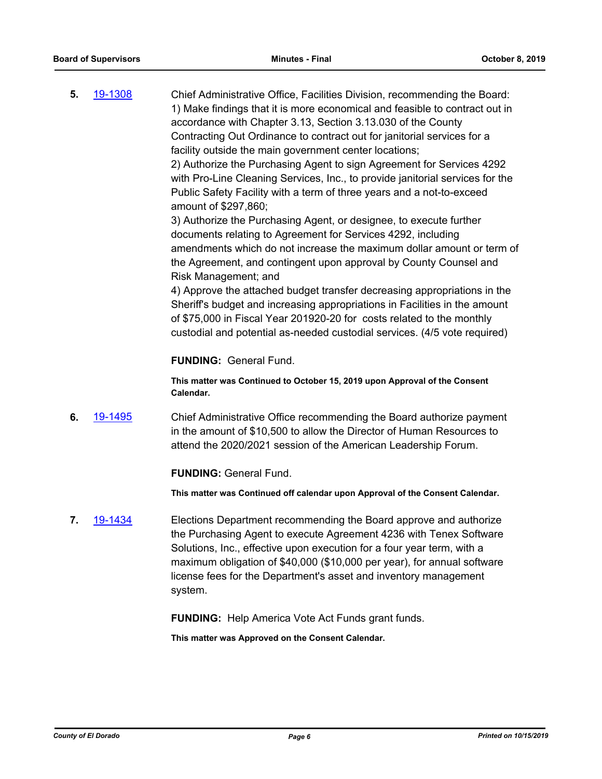**5.** [19-1308](http://eldorado.legistar.com/gateway.aspx?m=l&id=/matter.aspx?key=26630) Chief Administrative Office, Facilities Division, recommending the Board: 1) Make findings that it is more economical and feasible to contract out in accordance with Chapter 3.13, Section 3.13.030 of the County Contracting Out Ordinance to contract out for janitorial services for a facility outside the main government center locations; 2) Authorize the Purchasing Agent to sign Agreement for Services 4292 with Pro-Line Cleaning Services, Inc., to provide janitorial services for the Public Safety Facility with a term of three years and a not-to-exceed amount of \$297,860; 3) Authorize the Purchasing Agent, or designee, to execute further documents relating to Agreement for Services 4292, including

amendments which do not increase the maximum dollar amount or term of the Agreement, and contingent upon approval by County Counsel and Risk Management; and

4) Approve the attached budget transfer decreasing appropriations in the Sheriff's budget and increasing appropriations in Facilities in the amount of \$75,000 in Fiscal Year 201920-20 for costs related to the monthly custodial and potential as-needed custodial services. (4/5 vote required)

# **FUNDING:** General Fund.

**This matter was Continued to October 15, 2019 upon Approval of the Consent Calendar.**

**6.** [19-1495](http://eldorado.legistar.com/gateway.aspx?m=l&id=/matter.aspx?key=26817) Chief Administrative Office recommending the Board authorize payment in the amount of \$10,500 to allow the Director of Human Resources to attend the 2020/2021 session of the American Leadership Forum.

# **FUNDING:** General Fund.

**This matter was Continued off calendar upon Approval of the Consent Calendar.**

**7.** [19-1434](http://eldorado.legistar.com/gateway.aspx?m=l&id=/matter.aspx?key=26755) Elections Department recommending the Board approve and authorize the Purchasing Agent to execute Agreement 4236 with Tenex Software Solutions, Inc., effective upon execution for a four year term, with a maximum obligation of \$40,000 (\$10,000 per year), for annual software license fees for the Department's asset and inventory management system.

**FUNDING:** Help America Vote Act Funds grant funds.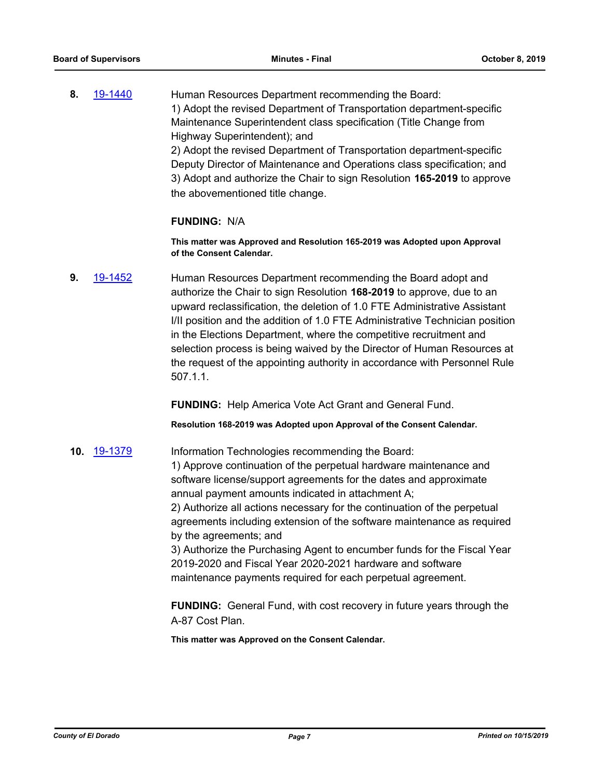**8.** [19-1440](http://eldorado.legistar.com/gateway.aspx?m=l&id=/matter.aspx?key=26761) Human Resources Department recommending the Board: 1) Adopt the revised Department of Transportation department-specific Maintenance Superintendent class specification (Title Change from Highway Superintendent); and 2) Adopt the revised Department of Transportation department-specific Deputy Director of Maintenance and Operations class specification; and 3) Adopt and authorize the Chair to sign Resolution **165-2019** to approve the abovementioned title change.

#### **FUNDING:** N/A

**This matter was Approved and Resolution 165-2019 was Adopted upon Approval of the Consent Calendar.**

**9.** [19-1452](http://eldorado.legistar.com/gateway.aspx?m=l&id=/matter.aspx?key=26773) Human Resources Department recommending the Board adopt and authorize the Chair to sign Resolution **168-2019** to approve, due to an upward reclassification, the deletion of 1.0 FTE Administrative Assistant I/II position and the addition of 1.0 FTE Administrative Technician position in the Elections Department, where the competitive recruitment and selection process is being waived by the Director of Human Resources at the request of the appointing authority in accordance with Personnel Rule 507.1.1.

**FUNDING:** Help America Vote Act Grant and General Fund.

**Resolution 168-2019 was Adopted upon Approval of the Consent Calendar.**

**10.** [19-1379](http://eldorado.legistar.com/gateway.aspx?m=l&id=/matter.aspx?key=26700) Information Technologies recommending the Board: 1) Approve continuation of the perpetual hardware maintenance and software license/support agreements for the dates and approximate annual payment amounts indicated in attachment A;

> 2) Authorize all actions necessary for the continuation of the perpetual agreements including extension of the software maintenance as required by the agreements; and

> 3) Authorize the Purchasing Agent to encumber funds for the Fiscal Year 2019-2020 and Fiscal Year 2020-2021 hardware and software maintenance payments required for each perpetual agreement.

> **FUNDING:** General Fund, with cost recovery in future years through the A-87 Cost Plan.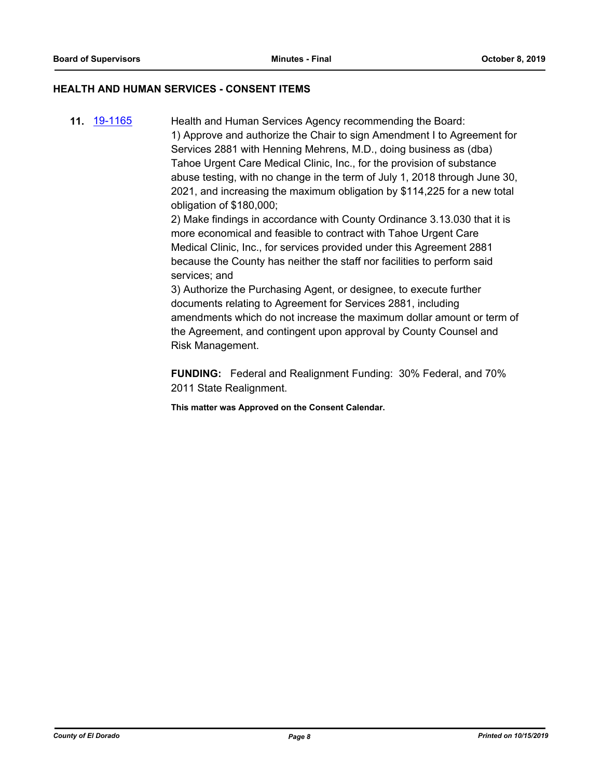# **HEALTH AND HUMAN SERVICES - CONSENT ITEMS**

**11.** [19-1165](http://eldorado.legistar.com/gateway.aspx?m=l&id=/matter.aspx?key=26488) Health and Human Services Agency recommending the Board: 1) Approve and authorize the Chair to sign Amendment I to Agreement for Services 2881 with Henning Mehrens, M.D., doing business as (dba) Tahoe Urgent Care Medical Clinic, Inc., for the provision of substance abuse testing, with no change in the term of July 1, 2018 through June 30, 2021, and increasing the maximum obligation by \$114,225 for a new total obligation of \$180,000;

2) Make findings in accordance with County Ordinance 3.13.030 that it is more economical and feasible to contract with Tahoe Urgent Care Medical Clinic, Inc., for services provided under this Agreement 2881 because the County has neither the staff nor facilities to perform said services; and

3) Authorize the Purchasing Agent, or designee, to execute further documents relating to Agreement for Services 2881, including amendments which do not increase the maximum dollar amount or term of the Agreement, and contingent upon approval by County Counsel and Risk Management.

**FUNDING:** Federal and Realignment Funding: 30% Federal, and 70% 2011 State Realignment.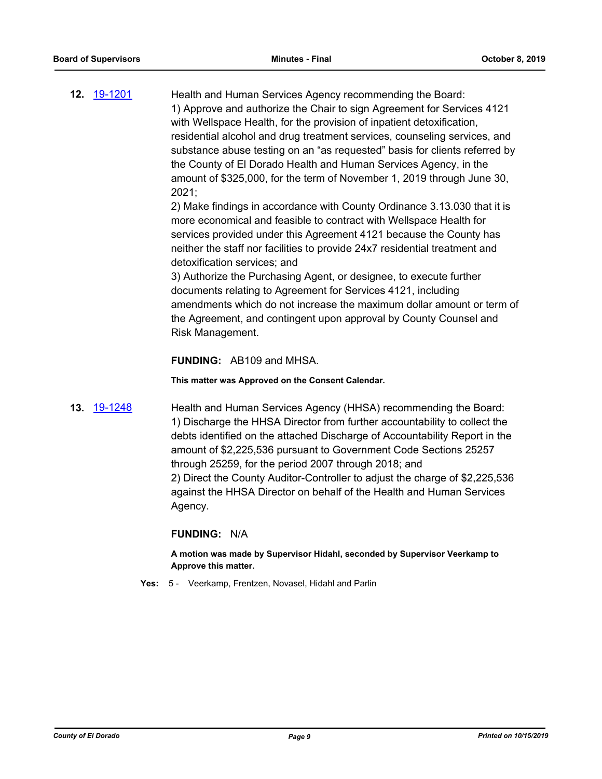**12.** [19-1201](http://eldorado.legistar.com/gateway.aspx?m=l&id=/matter.aspx?key=26524) Health and Human Services Agency recommending the Board: 1) Approve and authorize the Chair to sign Agreement for Services 4121 with Wellspace Health, for the provision of inpatient detoxification, residential alcohol and drug treatment services, counseling services, and substance abuse testing on an "as requested" basis for clients referred by the County of El Dorado Health and Human Services Agency, in the amount of \$325,000, for the term of November 1, 2019 through June 30, 2021;

> 2) Make findings in accordance with County Ordinance 3.13.030 that it is more economical and feasible to contract with Wellspace Health for services provided under this Agreement 4121 because the County has neither the staff nor facilities to provide 24x7 residential treatment and detoxification services; and

3) Authorize the Purchasing Agent, or designee, to execute further documents relating to Agreement for Services 4121, including amendments which do not increase the maximum dollar amount or term of the Agreement, and contingent upon approval by County Counsel and Risk Management.

### **FUNDING:** AB109 and MHSA.

**This matter was Approved on the Consent Calendar.**

**13.** [19-1248](http://eldorado.legistar.com/gateway.aspx?m=l&id=/matter.aspx?key=26570) Health and Human Services Agency (HHSA) recommending the Board: 1) Discharge the HHSA Director from further accountability to collect the debts identified on the attached Discharge of Accountability Report in the amount of \$2,225,536 pursuant to Government Code Sections 25257 through 25259, for the period 2007 through 2018; and 2) Direct the County Auditor-Controller to adjust the charge of \$2,225,536 against the HHSA Director on behalf of the Health and Human Services Agency.

#### **FUNDING:** N/A

**A motion was made by Supervisor Hidahl, seconded by Supervisor Veerkamp to Approve this matter.**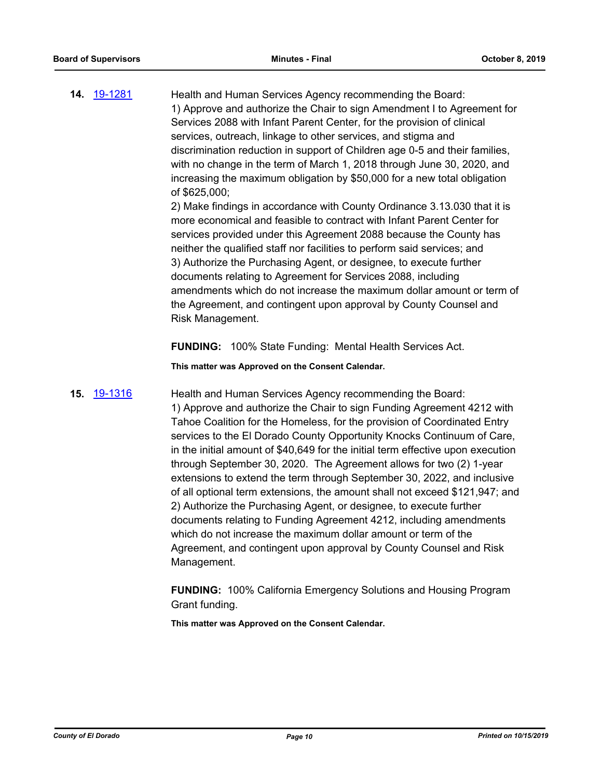14. [19-1281](http://eldorado.legistar.com/gateway.aspx?m=l&id=/matter.aspx?key=26603) Health and Human Services Agency recommending the Board: 1) Approve and authorize the Chair to sign Amendment I to Agreement for Services 2088 with Infant Parent Center, for the provision of clinical services, outreach, linkage to other services, and stigma and discrimination reduction in support of Children age 0-5 and their families, with no change in the term of March 1, 2018 through June 30, 2020, and increasing the maximum obligation by \$50,000 for a new total obligation of \$625,000;

2) Make findings in accordance with County Ordinance 3.13.030 that it is more economical and feasible to contract with Infant Parent Center for services provided under this Agreement 2088 because the County has neither the qualified staff nor facilities to perform said services; and 3) Authorize the Purchasing Agent, or designee, to execute further documents relating to Agreement for Services 2088, including amendments which do not increase the maximum dollar amount or term of the Agreement, and contingent upon approval by County Counsel and Risk Management.

**FUNDING:** 100% State Funding: Mental Health Services Act.

**This matter was Approved on the Consent Calendar.**

**15.** [19-1316](http://eldorado.legistar.com/gateway.aspx?m=l&id=/matter.aspx?key=26638) Health and Human Services Agency recommending the Board: 1) Approve and authorize the Chair to sign Funding Agreement 4212 with Tahoe Coalition for the Homeless, for the provision of Coordinated Entry services to the El Dorado County Opportunity Knocks Continuum of Care, in the initial amount of \$40,649 for the initial term effective upon execution through September 30, 2020. The Agreement allows for two (2) 1-year extensions to extend the term through September 30, 2022, and inclusive of all optional term extensions, the amount shall not exceed \$121,947; and 2) Authorize the Purchasing Agent, or designee, to execute further documents relating to Funding Agreement 4212, including amendments which do not increase the maximum dollar amount or term of the Agreement, and contingent upon approval by County Counsel and Risk Management.

> **FUNDING:** 100% California Emergency Solutions and Housing Program Grant funding.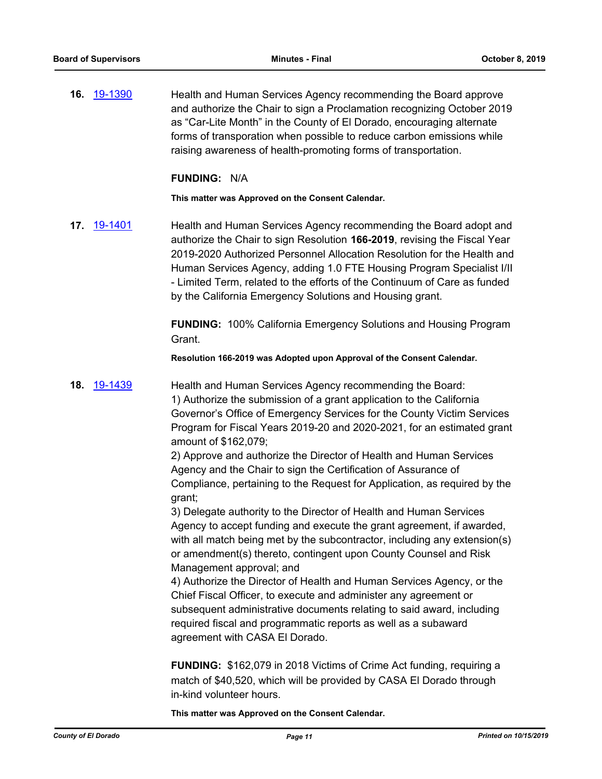**16.** [19-1390](http://eldorado.legistar.com/gateway.aspx?m=l&id=/matter.aspx?key=26711) Health and Human Services Agency recommending the Board approve and authorize the Chair to sign a Proclamation recognizing October 2019 as "Car-Lite Month" in the County of El Dorado, encouraging alternate forms of transporation when possible to reduce carbon emissions while raising awareness of health-promoting forms of transportation.

#### **FUNDING:** N/A

**This matter was Approved on the Consent Calendar.**

**17.** [19-1401](http://eldorado.legistar.com/gateway.aspx?m=l&id=/matter.aspx?key=26722) Health and Human Services Agency recommending the Board adopt and authorize the Chair to sign Resolution **166-2019**, revising the Fiscal Year 2019-2020 Authorized Personnel Allocation Resolution for the Health and Human Services Agency, adding 1.0 FTE Housing Program Specialist I/II - Limited Term, related to the efforts of the Continuum of Care as funded by the California Emergency Solutions and Housing grant.

> **FUNDING:** 100% California Emergency Solutions and Housing Program Grant.

**Resolution 166-2019 was Adopted upon Approval of the Consent Calendar.**

**18.** [19-1439](http://eldorado.legistar.com/gateway.aspx?m=l&id=/matter.aspx?key=26760) Health and Human Services Agency recommending the Board: 1) Authorize the submission of a grant application to the California Governor's Office of Emergency Services for the County Victim Services Program for Fiscal Years 2019-20 and 2020-2021, for an estimated grant amount of \$162,079;

> 2) Approve and authorize the Director of Health and Human Services Agency and the Chair to sign the Certification of Assurance of Compliance, pertaining to the Request for Application, as required by the grant;

> 3) Delegate authority to the Director of Health and Human Services Agency to accept funding and execute the grant agreement, if awarded, with all match being met by the subcontractor, including any extension(s) or amendment(s) thereto, contingent upon County Counsel and Risk Management approval; and

4) Authorize the Director of Health and Human Services Agency, or the Chief Fiscal Officer, to execute and administer any agreement or subsequent administrative documents relating to said award, including required fiscal and programmatic reports as well as a subaward agreement with CASA El Dorado.

**FUNDING:** \$162,079 in 2018 Victims of Crime Act funding, requiring a match of \$40,520, which will be provided by CASA El Dorado through in-kind volunteer hours.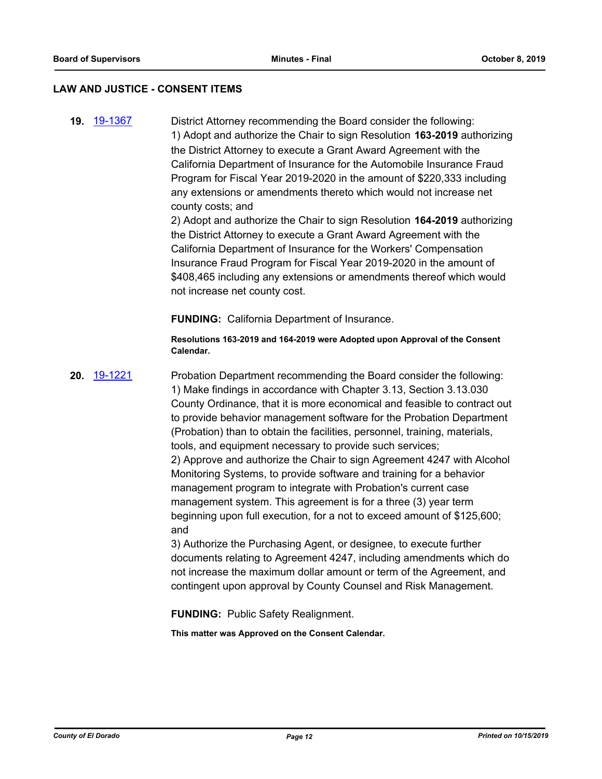#### **LAW AND JUSTICE - CONSENT ITEMS**

**19.** [19-1367](http://eldorado.legistar.com/gateway.aspx?m=l&id=/matter.aspx?key=26688) District Attorney recommending the Board consider the following: 1) Adopt and authorize the Chair to sign Resolution **163-2019** authorizing the District Attorney to execute a Grant Award Agreement with the California Department of Insurance for the Automobile Insurance Fraud Program for Fiscal Year 2019-2020 in the amount of \$220,333 including any extensions or amendments thereto which would not increase net county costs; and

2) Adopt and authorize the Chair to sign Resolution **164-2019** authorizing the District Attorney to execute a Grant Award Agreement with the California Department of Insurance for the Workers' Compensation Insurance Fraud Program for Fiscal Year 2019-2020 in the amount of \$408,465 including any extensions or amendments thereof which would not increase net county cost.

**FUNDING:** California Department of Insurance.

**Resolutions 163-2019 and 164-2019 were Adopted upon Approval of the Consent Calendar.**

**20.** [19-1221](http://eldorado.legistar.com/gateway.aspx?m=l&id=/matter.aspx?key=26543) Probation Department recommending the Board consider the following: 1) Make findings in accordance with Chapter 3.13, Section 3.13.030 County Ordinance, that it is more economical and feasible to contract out to provide behavior management software for the Probation Department (Probation) than to obtain the facilities, personnel, training, materials, tools, and equipment necessary to provide such services; 2) Approve and authorize the Chair to sign Agreement 4247 with Alcohol Monitoring Systems, to provide software and training for a behavior management program to integrate with Probation's current case management system. This agreement is for a three (3) year term beginning upon full execution, for a not to exceed amount of \$125,600; and

3) Authorize the Purchasing Agent, or designee, to execute further documents relating to Agreement 4247, including amendments which do not increase the maximum dollar amount or term of the Agreement, and contingent upon approval by County Counsel and Risk Management.

**FUNDING:** Public Safety Realignment.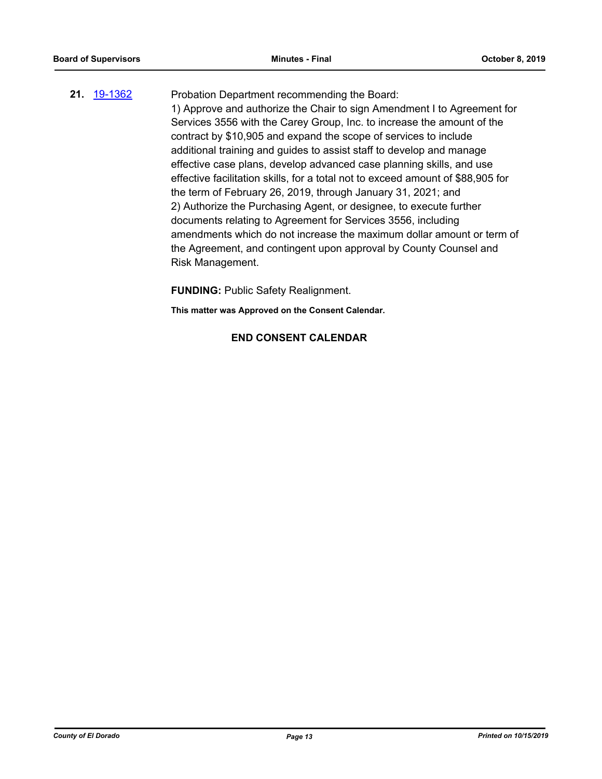# **21.** [19-1362](http://eldorado.legistar.com/gateway.aspx?m=l&id=/matter.aspx?key=26683) Probation Department recommending the Board: 1) Approve and authorize the Chair to sign Amendment I to Agreement for Services 3556 with the Carey Group, Inc. to increase the amount of the contract by \$10,905 and expand the scope of services to include additional training and guides to assist staff to develop and manage effective case plans, develop advanced case planning skills, and use effective facilitation skills, for a total not to exceed amount of \$88,905 for the term of February 26, 2019, through January 31, 2021; and 2) Authorize the Purchasing Agent, or designee, to execute further documents relating to Agreement for Services 3556, including amendments which do not increase the maximum dollar amount or term of the Agreement, and contingent upon approval by County Counsel and Risk Management.

**FUNDING:** Public Safety Realignment.

**This matter was Approved on the Consent Calendar.**

# **END CONSENT CALENDAR**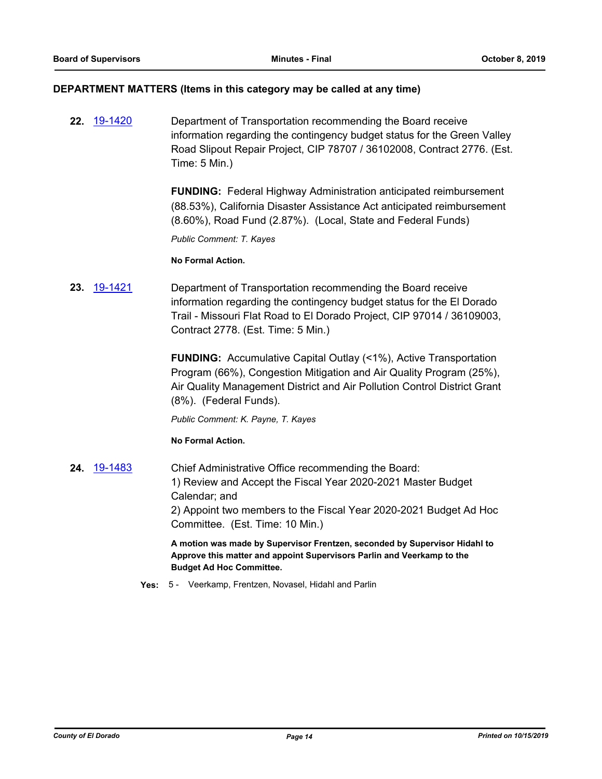#### **DEPARTMENT MATTERS (Items in this category may be called at any time)**

**22.** [19-1420](http://eldorado.legistar.com/gateway.aspx?m=l&id=/matter.aspx?key=26741) Department of Transportation recommending the Board receive information regarding the contingency budget status for the Green Valley Road Slipout Repair Project, CIP 78707 / 36102008, Contract 2776. (Est. Time: 5 Min.)

> **FUNDING:** Federal Highway Administration anticipated reimbursement (88.53%), California Disaster Assistance Act anticipated reimbursement (8.60%), Road Fund (2.87%). (Local, State and Federal Funds)

*Public Comment: T. Kayes*

#### **No Formal Action.**

**23.** [19-1421](http://eldorado.legistar.com/gateway.aspx?m=l&id=/matter.aspx?key=26742) Department of Transportation recommending the Board receive information regarding the contingency budget status for the El Dorado Trail - Missouri Flat Road to El Dorado Project, CIP 97014 / 36109003, Contract 2778. (Est. Time: 5 Min.)

> **FUNDING:** Accumulative Capital Outlay (<1%), Active Transportation Program (66%), Congestion Mitigation and Air Quality Program (25%), Air Quality Management District and Air Pollution Control District Grant (8%). (Federal Funds).

*Public Comment: K. Payne, T. Kayes*

#### **No Formal Action.**

**24.** [19-1483](http://eldorado.legistar.com/gateway.aspx?m=l&id=/matter.aspx?key=26804) Chief Administrative Office recommending the Board: 1) Review and Accept the Fiscal Year 2020-2021 Master Budget Calendar; and 2) Appoint two members to the Fiscal Year 2020-2021 Budget Ad Hoc Committee. (Est. Time: 10 Min.)

> **A motion was made by Supervisor Frentzen, seconded by Supervisor Hidahl to Approve this matter and appoint Supervisors Parlin and Veerkamp to the Budget Ad Hoc Committee.**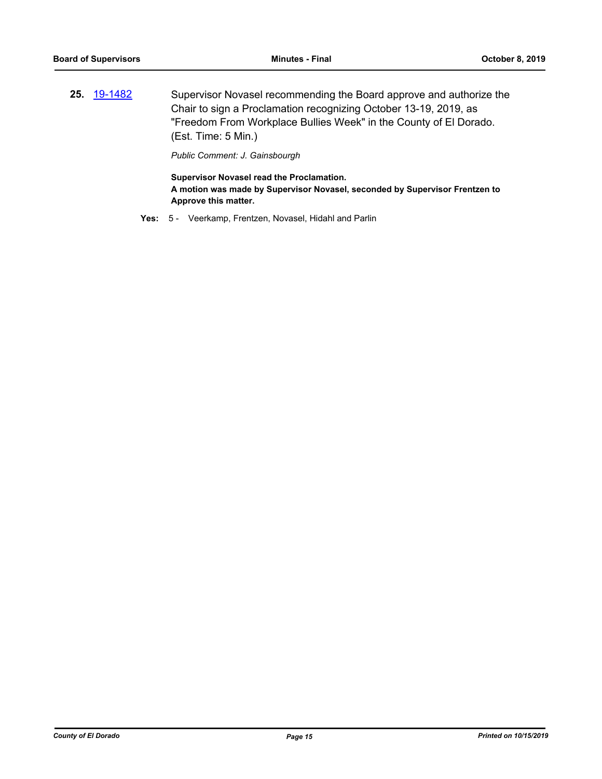**25.** [19-1482](http://eldorado.legistar.com/gateway.aspx?m=l&id=/matter.aspx?key=26803) Supervisor Novasel recommending the Board approve and authorize the Chair to sign a Proclamation recognizing October 13-19, 2019, as "Freedom From Workplace Bullies Week" in the County of El Dorado. (Est. Time: 5 Min.)

*Public Comment: J. Gainsbourgh*

**Supervisor Novasel read the Proclamation. A motion was made by Supervisor Novasel, seconded by Supervisor Frentzen to Approve this matter.**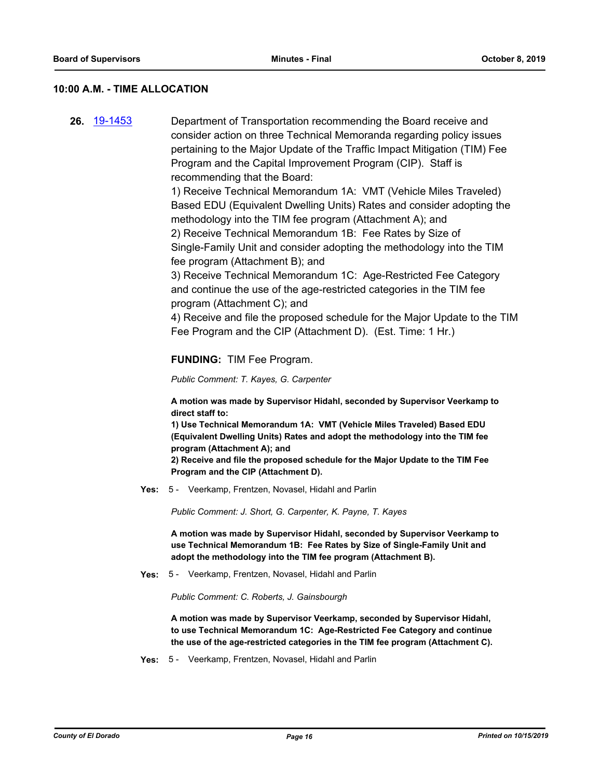#### **10:00 A.M. - TIME ALLOCATION**

**26.** [19-1453](http://eldorado.legistar.com/gateway.aspx?m=l&id=/matter.aspx?key=26774) Department of Transportation recommending the Board receive and consider action on three Technical Memoranda regarding policy issues pertaining to the Major Update of the Traffic Impact Mitigation (TIM) Fee Program and the Capital Improvement Program (CIP). Staff is recommending that the Board:

> 1) Receive Technical Memorandum 1A: VMT (Vehicle Miles Traveled) Based EDU (Equivalent Dwelling Units) Rates and consider adopting the methodology into the TIM fee program (Attachment A); and 2) Receive Technical Memorandum 1B: Fee Rates by Size of Single-Family Unit and consider adopting the methodology into the TIM fee program (Attachment B); and

3) Receive Technical Memorandum 1C: Age-Restricted Fee Category and continue the use of the age-restricted categories in the TIM fee program (Attachment C); and

4) Receive and file the proposed schedule for the Major Update to the TIM Fee Program and the CIP (Attachment D). (Est. Time: 1 Hr.)

#### **FUNDING:** TIM Fee Program.

*Public Comment: T. Kayes, G. Carpenter*

**A motion was made by Supervisor Hidahl, seconded by Supervisor Veerkamp to direct staff to:**

**1) Use Technical Memorandum 1A: VMT (Vehicle Miles Traveled) Based EDU (Equivalent Dwelling Units) Rates and adopt the methodology into the TIM fee program (Attachment A); and**

**2) Receive and file the proposed schedule for the Major Update to the TIM Fee Program and the CIP (Attachment D).**

**Yes:** 5 - Veerkamp, Frentzen, Novasel, Hidahl and Parlin

*Public Comment: J. Short, G. Carpenter, K. Payne, T. Kayes*

**A motion was made by Supervisor Hidahl, seconded by Supervisor Veerkamp to use Technical Memorandum 1B: Fee Rates by Size of Single-Family Unit and adopt the methodology into the TIM fee program (Attachment B).**

**Yes:** 5 - Veerkamp, Frentzen, Novasel, Hidahl and Parlin

*Public Comment: C. Roberts, J. Gainsbourgh*

**A motion was made by Supervisor Veerkamp, seconded by Supervisor Hidahl, to use Technical Memorandum 1C: Age-Restricted Fee Category and continue the use of the age-restricted categories in the TIM fee program (Attachment C).**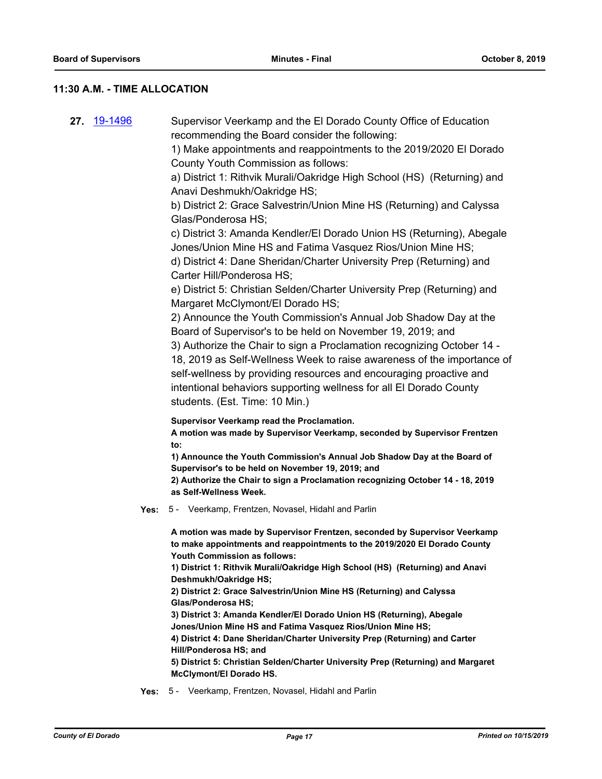### **11:30 A.M. - TIME ALLOCATION**

**27.** [19-1496](http://eldorado.legistar.com/gateway.aspx?m=l&id=/matter.aspx?key=26818) Supervisor Veerkamp and the El Dorado County Office of Education recommending the Board consider the following: 1) Make appointments and reappointments to the 2019/2020 El Dorado County Youth Commission as follows: a) District 1: Rithvik Murali/Oakridge High School (HS) (Returning) and Anavi Deshmukh/Oakridge HS; b) District 2: Grace Salvestrin/Union Mine HS (Returning) and Calyssa Glas/Ponderosa HS; c) District 3: Amanda Kendler/El Dorado Union HS (Returning), Abegale Jones/Union Mine HS and Fatima Vasquez Rios/Union Mine HS; d) District 4: Dane Sheridan/Charter University Prep (Returning) and Carter Hill/Ponderosa HS; e) District 5: Christian Selden/Charter University Prep (Returning) and Margaret McClymont/El Dorado HS; 2) Announce the Youth Commission's Annual Job Shadow Day at the Board of Supervisor's to be held on November 19, 2019; and 3) Authorize the Chair to sign a Proclamation recognizing October 14 - 18, 2019 as Self-Wellness Week to raise awareness of the importance of self-wellness by providing resources and encouraging proactive and intentional behaviors supporting wellness for all El Dorado County students. (Est. Time: 10 Min.) **Supervisor Veerkamp read the Proclamation. A motion was made by Supervisor Veerkamp, seconded by Supervisor Frentzen to: 1) Announce the Youth Commission's Annual Job Shadow Day at the Board of Supervisor's to be held on November 19, 2019; and 2) Authorize the Chair to sign a Proclamation recognizing October 14 - 18, 2019 as Self-Wellness Week. Yes:** 5 - Veerkamp, Frentzen, Novasel, Hidahl and Parlin **A motion was made by Supervisor Frentzen, seconded by Supervisor Veerkamp to make appointments and reappointments to the 2019/2020 El Dorado County Youth Commission as follows: 1) District 1: Rithvik Murali/Oakridge High School (HS) (Returning) and Anavi Deshmukh/Oakridge HS; 2) District 2: Grace Salvestrin/Union Mine HS (Returning) and Calyssa Glas/Ponderosa HS; 3) District 3: Amanda Kendler/El Dorado Union HS (Returning), Abegale Jones/Union Mine HS and Fatima Vasquez Rios/Union Mine HS; 4) District 4: Dane Sheridan/Charter University Prep (Returning) and Carter Hill/Ponderosa HS; and 5) District 5: Christian Selden/Charter University Prep (Returning) and Margaret McClymont/El Dorado HS.**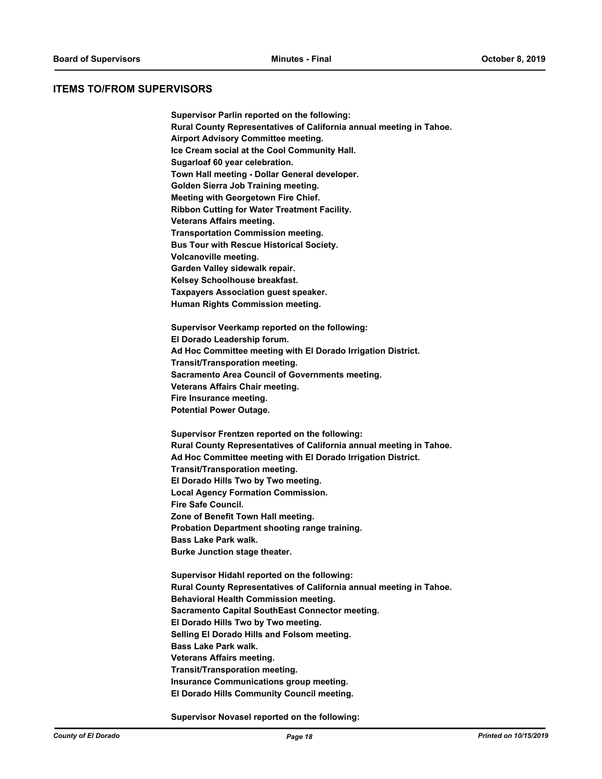#### **ITEMS TO/FROM SUPERVISORS**

**Supervisor Parlin reported on the following: Rural County Representatives of California annual meeting in Tahoe. Airport Advisory Committee meeting. Ice Cream social at the Cool Community Hall. Sugarloaf 60 year celebration. Town Hall meeting - Dollar General developer. Golden Sierra Job Training meeting. Meeting with Georgetown Fire Chief. Ribbon Cutting for Water Treatment Facility. Veterans Affairs meeting. Transportation Commission meeting. Bus Tour with Rescue Historical Society. Volcanoville meeting. Garden Valley sidewalk repair. Kelsey Schoolhouse breakfast. Taxpayers Association guest speaker. Human Rights Commission meeting. Supervisor Veerkamp reported on the following: El Dorado Leadership forum. Ad Hoc Committee meeting with El Dorado Irrigation District. Transit/Transporation meeting. Sacramento Area Council of Governments meeting. Veterans Affairs Chair meeting. Fire Insurance meeting. Potential Power Outage. Supervisor Frentzen reported on the following: Rural County Representatives of California annual meeting in Tahoe. Ad Hoc Committee meeting with El Dorado Irrigation District. Transit/Transporation meeting. El Dorado Hills Two by Two meeting. Local Agency Formation Commission. Fire Safe Council. Zone of Benefit Town Hall meeting. Probation Department shooting range training. Bass Lake Park walk. Burke Junction stage theater. Supervisor Hidahl reported on the following: Rural County Representatives of California annual meeting in Tahoe. Behavioral Health Commission meeting. Sacramento Capital SouthEast Connector meeting. El Dorado Hills Two by Two meeting. Selling El Dorado Hills and Folsom meeting. Bass Lake Park walk. Veterans Affairs meeting. Transit/Transporation meeting. Insurance Communications group meeting. El Dorado Hills Community Council meeting.** 

**Supervisor Novasel reported on the following:**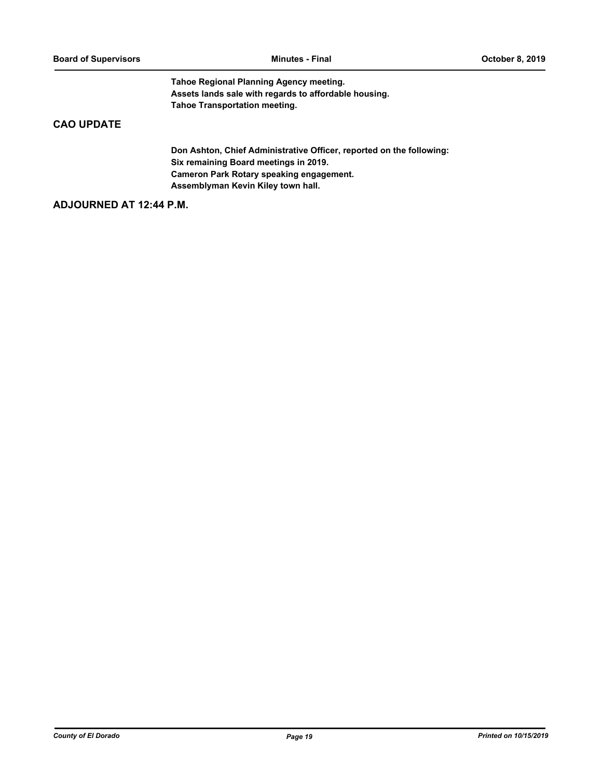**Tahoe Regional Planning Agency meeting. Assets lands sale with regards to affordable housing. Tahoe Transportation meeting.**

# **CAO UPDATE**

**Don Ashton, Chief Administrative Officer, reported on the following: Six remaining Board meetings in 2019. Cameron Park Rotary speaking engagement. Assemblyman Kevin Kiley town hall.**

# **ADJOURNED AT 12:44 P.M.**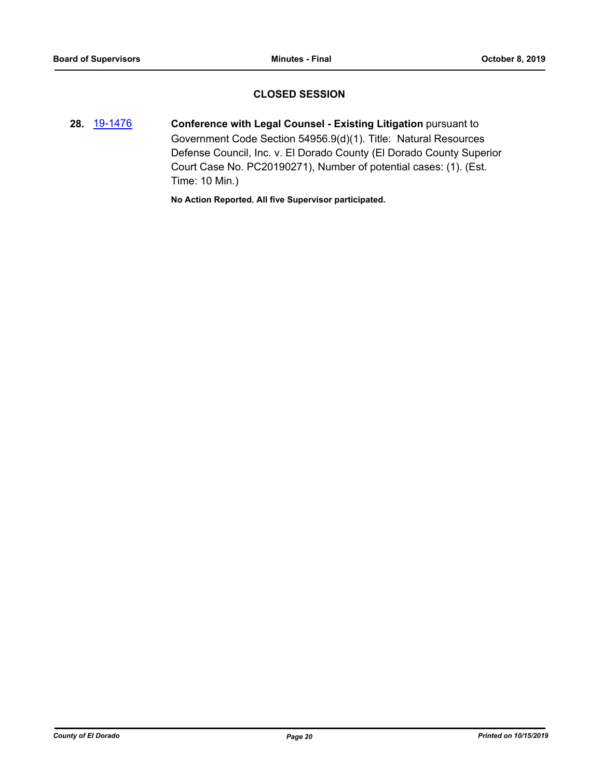# **CLOSED SESSION**

**28.** [19-1476](http://eldorado.legistar.com/gateway.aspx?m=l&id=/matter.aspx?key=26797) **Conference with Legal Counsel - Existing Litigation** pursuant to Government Code Section 54956.9(d)(1). Title: Natural Resources Defense Council, Inc. v. El Dorado County (El Dorado County Superior Court Case No. PC20190271), Number of potential cases: (1). (Est. Time: 10 Min.)

**No Action Reported. All five Supervisor participated.**